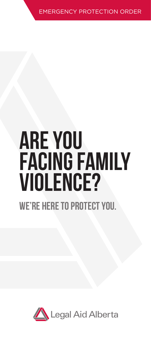EMERGENCY PROTECTION ORI

# Are you facing family violence? We'RE here to protect you.

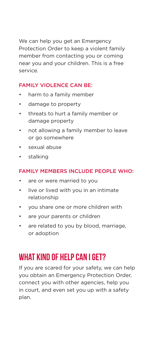We can help you get an Emergency Protection Order to keep a violent family member from contacting you or coming near you and your children. This is a free service.

#### FAMILY VIOLENCE CAN BE:

- harm to a family member
- damage to property
- threats to hurt a family member or damage property
- not allowing a family member to leave or go somewhere
- sexual abuse
- stalking

#### FAMILY MEMBERS INCLUDE PEOPLE WHO:

- are or were married to you
- live or lived with you in an intimate relationship
- you share one or more children with
- are your parents or children
- are related to you by blood, marriage, or adoption

## WHAT KIND OF HELP CAN LGET?

If you are scared for your safety, we can help you obtain an Emergency Protection Order, connect you with other agencies, help you in court, and even set you up with a safety plan.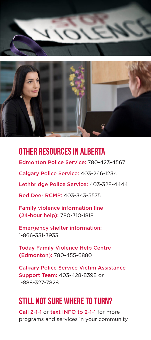



## Other resources in Alberta

Edmonton Police Service: 780-423-4567

Calgary Police Service: 403-266-1234

Lethbridge Police Service: 403-328-4444

Red Deer RCMP: 403-343-5575

Family violence information line (24-hour help): 780-310-1818

Emergency shelter information: 1-866-331-3933

Today Family Violence Help Centre (Edmonton): 780-455-6880

Calgary Police Service Victim Assistance Support Team: 403-428-8398 or 1-888-327-7828

## Still not sure where to turn?

Call 2-1-1 or text INFO to 2-1-1 for more programs and services in your community.